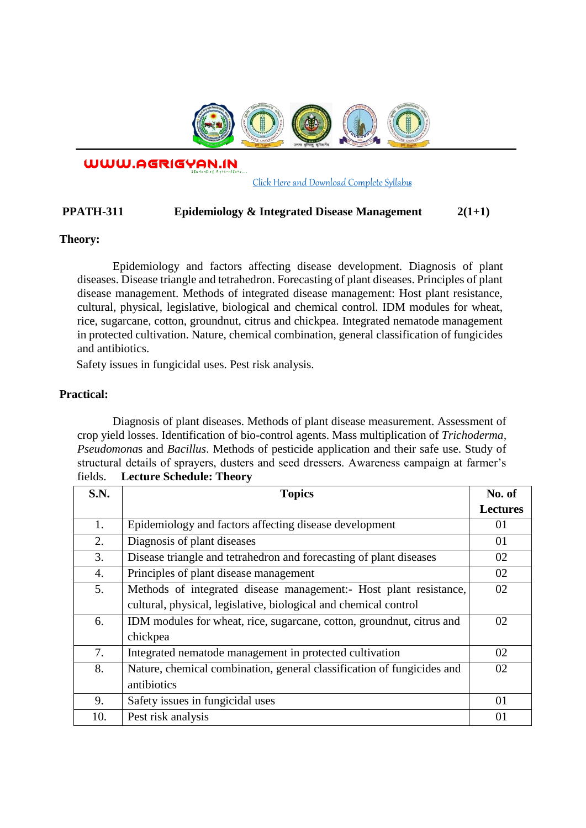

WWW.AGRIGYAN.IN

[Click Here and Download Complete Syllabus](http://agrigyan.in/)

## **PPATH-311 Epidemiology & Integrated Disease Management 2(1+1)**

## **Theory:**

 $\overline{a}$ 

Epidemiology and factors affecting disease development. Diagnosis of plant diseases. Disease triangle and tetrahedron. Forecasting of plant diseases. Principles of plant disease management. Methods of integrated disease management: Host plant resistance, cultural, physical, legislative, biological and chemical control. IDM modules for wheat, rice, sugarcane, cotton, groundnut, citrus and chickpea. Integrated nematode management in protected cultivation. Nature, chemical combination, general classification of fungicides and antibiotics.

Safety issues in fungicidal uses. Pest risk analysis.

## **Practical:**

Diagnosis of plant diseases. Methods of plant disease measurement. Assessment of crop yield losses. Identification of bio-control agents. Mass multiplication of *Trichoderma, Pseudomona*s and *Bacillus*. Methods of pesticide application and their safe use. Study of structural details of sprayers, dusters and seed dressers. Awareness campaign at farmer's fields. **Lecture Schedule: Theory** 

| S.N. | <b>Topics</b>                                                          | No. of          |
|------|------------------------------------------------------------------------|-----------------|
|      |                                                                        | <b>Lectures</b> |
| 1.   | Epidemiology and factors affecting disease development                 | 01              |
| 2.   | Diagnosis of plant diseases                                            | 01              |
| 3.   | Disease triangle and tetrahedron and forecasting of plant diseases     | 02              |
| 4.   | Principles of plant disease management                                 | 02              |
| 5.   | Methods of integrated disease management:- Host plant resistance,      | 02              |
|      | cultural, physical, legislative, biological and chemical control       |                 |
| 6.   | IDM modules for wheat, rice, sugarcane, cotton, ground nut, citrus and | 02              |
|      | chickpea                                                               |                 |
| 7.   | Integrated nematode management in protected cultivation                | 02              |
| 8.   | Nature, chemical combination, general classification of fungicides and | 02              |
|      | antibiotics                                                            |                 |
| 9.   | Safety issues in fungicidal uses                                       | 01              |
| 10.  | Pest risk analysis                                                     | 01              |